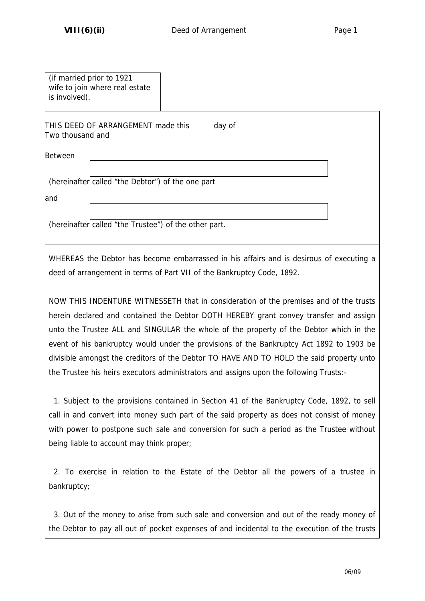| (if married prior to 1921<br>wife to join where real estate<br>is involved). |                                                                                                                                                                                                                                                                                                                                                                                                                                                                                                                                                            |  |
|------------------------------------------------------------------------------|------------------------------------------------------------------------------------------------------------------------------------------------------------------------------------------------------------------------------------------------------------------------------------------------------------------------------------------------------------------------------------------------------------------------------------------------------------------------------------------------------------------------------------------------------------|--|
| THIS DEED OF ARRANGEMENT made this<br>Two thousand and                       | day of                                                                                                                                                                                                                                                                                                                                                                                                                                                                                                                                                     |  |
| <b>Between</b>                                                               |                                                                                                                                                                                                                                                                                                                                                                                                                                                                                                                                                            |  |
| (hereinafter called "the Debtor") of the one part                            |                                                                                                                                                                                                                                                                                                                                                                                                                                                                                                                                                            |  |
| land                                                                         |                                                                                                                                                                                                                                                                                                                                                                                                                                                                                                                                                            |  |
| (hereinafter called "the Trustee") of the other part.                        |                                                                                                                                                                                                                                                                                                                                                                                                                                                                                                                                                            |  |
|                                                                              | WHEREAS the Debtor has become embarrassed in his affairs and is desirous of executing a<br>deed of arrangement in terms of Part VII of the Bankruptcy Code, 1892.                                                                                                                                                                                                                                                                                                                                                                                          |  |
|                                                                              | NOW THIS INDENTURE WITNESSETH that in consideration of the premises and of the trusts<br>herein declared and contained the Debtor DOTH HEREBY grant convey transfer and assign<br>unto the Trustee ALL and SINGULAR the whole of the property of the Debtor which in the<br>event of his bankruptcy would under the provisions of the Bankruptcy Act 1892 to 1903 be<br>divisible amongst the creditors of the Debtor TO HAVE AND TO HOLD the said property unto<br>the Trustee his heirs executors administrators and assigns upon the following Trusts:- |  |
| being liable to account may think proper;                                    | 1. Subject to the provisions contained in Section 41 of the Bankruptcy Code, 1892, to sell<br>call in and convert into money such part of the said property as does not consist of money<br>with power to postpone such sale and conversion for such a period as the Trustee without                                                                                                                                                                                                                                                                       |  |
| bankruptcy;                                                                  | 2. To exercise in relation to the Estate of the Debtor all the powers of a trustee in                                                                                                                                                                                                                                                                                                                                                                                                                                                                      |  |
|                                                                              | 3. Out of the money to arise from such sale and conversion and out of the ready money of<br>the Debtor to pay all out of pocket expenses of and incidental to the execution of the trusts                                                                                                                                                                                                                                                                                                                                                                  |  |